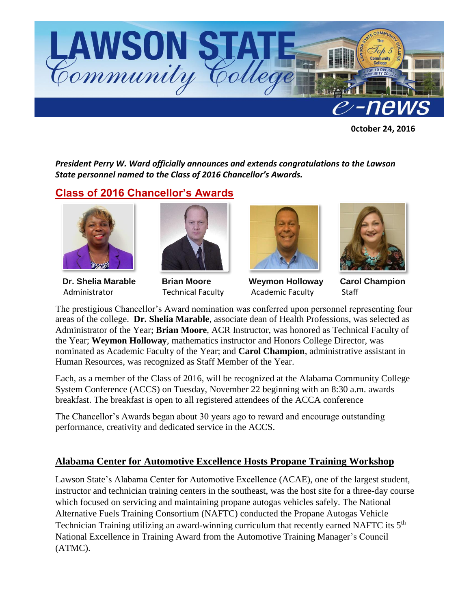

 **0ctober 24, 2016**

*President Perry W. Ward officially announces and extends congratulations to the Lawson State personnel named to the Class of 2016 Chancellor's Awards.* 

# **Class of 2016 Chancellor's Awards**



 **Dr. Shelia Marable Brian Moore Weymon Holloway Carol Champion** Administrator Technical Faculty Academic Faculty Staff







The prestigious Chancellor's Award nomination was conferred upon personnel representing four areas of the college. **Dr. Shelia Marable**, associate dean of Health Professions, was selected as Administrator of the Year; **Brian Moore**, ACR Instructor, was honored as Technical Faculty of the Year; **Weymon Holloway**, mathematics instructor and Honors College Director, was nominated as Academic Faculty of the Year; and **Carol Champion**, administrative assistant in Human Resources, was recognized as Staff Member of the Year.

Each, as a member of the Class of 2016, will be recognized at the Alabama Community College System Conference (ACCS) on Tuesday, November 22 beginning with an 8:30 a.m. awards breakfast. The breakfast is open to all registered attendees of the ACCA conference

The Chancellor's Awards began about 30 years ago to reward and encourage outstanding performance, creativity and dedicated service in the ACCS.

### **Alabama Center for Automotive Excellence Hosts Propane Training Workshop**

Lawson State's Alabama Center for Automotive Excellence (ACAE), one of the largest student, instructor and technician training centers in the southeast, was the host site for a three-day course which focused on servicing and maintaining propane autogas vehicles safely. The National Alternative Fuels Training Consortium (NAFTC) conducted the Propane Autogas Vehicle Technician Training utilizing an award-winning curriculum that recently earned NAFTC its 5<sup>th</sup> National Excellence in Training Award from the Automotive Training Manager's Council (ATMC).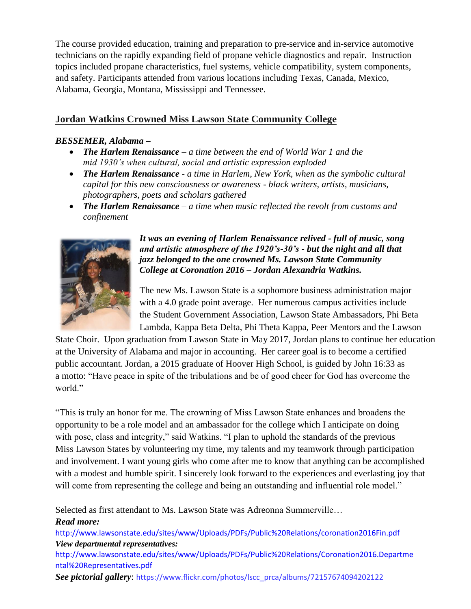The course provided education, training and preparation to pre-service and in-service automotive technicians on the rapidly expanding field of propane vehicle diagnostics and repair. Instruction topics included propane characteristics, fuel systems, vehicle compatibility, system components, and safety. Participants attended from various locations including Texas, Canada, Mexico, Alabama, Georgia, Montana, Mississippi and Tennessee.

## **Jordan Watkins Crowned Miss Lawson State Community College**

#### *BESSEMER, Alabama –*

- *The Harlem Renaissance – a time between the end of World War 1 and the mid 1930's when cultural, social and artistic expression exploded*
- *The Harlem Renaissance - a time in Harlem, New York, when as the symbolic cultural capital for this new consciousness or awareness - black writers, artists, musicians, photographers, poets and scholars gathered*
- *The Harlem Renaissance – a time when music reflected the revolt from customs and confinement*



*It was an evening of Harlem Renaissance relived - full of music, song and artistic atmosphere of the 1920's-30's - but the night and all that jazz belonged to the one crowned Ms. Lawson State Community College at Coronation 2016 – Jordan Alexandria Watkins.*

The new Ms. Lawson State is a sophomore business administration major with a 4.0 grade point average. Her numerous campus activities include the Student Government Association, Lawson State Ambassadors, Phi Beta Lambda, Kappa Beta Delta, Phi Theta Kappa, Peer Mentors and the Lawson

State Choir. Upon graduation from Lawson State in May 2017, Jordan plans to continue her education at the University of Alabama and major in accounting. Her career goal is to become a certified public accountant. Jordan, a 2015 graduate of Hoover High School, is guided by John 16:33 as a motto: "Have peace in spite of the tribulations and be of good cheer for God has overcome the world"

"This is truly an honor for me. The crowning of Miss Lawson State enhances and broadens the opportunity to be a role model and an ambassador for the college which I anticipate on doing with pose, class and integrity," said Watkins. "I plan to uphold the standards of the previous Miss Lawson States by volunteering my time, my talents and my teamwork through participation and involvement. I want young girls who come after me to know that anything can be accomplished with a modest and humble spirit. I sincerely look forward to the experiences and everlasting joy that will come from representing the college and being an outstanding and influential role model."

Selected as first attendant to Ms. Lawson State was Adreonna Summerville…

#### *Read more:*

<http://www.lawsonstate.edu/sites/www/Uploads/PDFs/Public%20Relations/coronation2016Fin.pdf> *View departmental representatives:* 

[http://www.lawsonstate.edu/sites/www/Uploads/PDFs/Public%20Relations/Coronation2016.Departme](https://mail.lawsonstate.edu/owa/redir.aspx?C=20738e70f25645eaa59653e56585c8e7&URL=http%3a%2f%2fwww.lawsonstate.edu%2fsites%2fwww%2fUploads%2fPDFs%2fPublic%2520Relations%2fCoronation2016.Departmental%2520Representatives.pdf) [ntal%20Representatives.pdf](https://mail.lawsonstate.edu/owa/redir.aspx?C=20738e70f25645eaa59653e56585c8e7&URL=http%3a%2f%2fwww.lawsonstate.edu%2fsites%2fwww%2fUploads%2fPDFs%2fPublic%2520Relations%2fCoronation2016.Departmental%2520Representatives.pdf)

*See pictorial gallery*: [https://www.flickr.com/photos/lscc\\_prca/albums/72157674094202122](https://mail.lawsonstate.edu/owa/redir.aspx?C=de746f0d2a7648fe9f16448df2a82d53&URL=https%3a%2f%2fwww.flickr.com%2fphotos%2flscc_prca%2falbums%2f72157674094202122)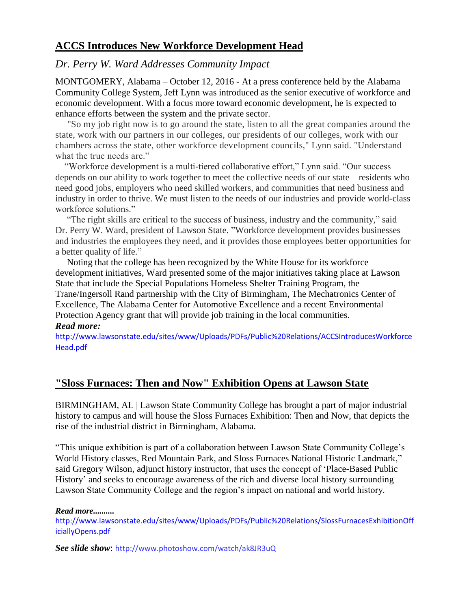# **ACCS Introduces New Workforce Development Head**

#### *Dr. Perry W. Ward Addresses Community Impact*

MONTGOMERY, Alabama – October 12, 2016 - At a press conference held by the Alabama Community College System, Jeff Lynn was introduced as the senior executive of workforce and economic development. With a focus more toward economic development, he is expected to enhance efforts between the system and the private sector.

 "So my job right now is to go around the state, listen to all the great companies around the state, work with our partners in our colleges, our presidents of our colleges, work with our chambers across the state, other workforce development councils," Lynn said. "Understand what the true needs are."

 "Workforce development is a multi-tiered collaborative effort," Lynn said. "Our success depends on our ability to work together to meet the collective needs of our state – residents who need good jobs, employers who need skilled workers, and communities that need business and industry in order to thrive. We must listen to the needs of our industries and provide world-class workforce solutions."

 "The right skills are critical to the success of business, industry and the community," said Dr. Perry W. Ward, president of Lawson State. "Workforce development provides businesses and industries the employees they need, and it provides those employees better opportunities for a better quality of life."

 Noting that the college has been recognized by the White House for its workforce development initiatives, Ward presented some of the major initiatives taking place at Lawson State that include the Special Populations Homeless Shelter Training Program, the Trane/Ingersoll Rand partnership with the City of Birmingham, The Mechatronics Center of Excellence, The Alabama Center for Automotive Excellence and a recent Environmental Protection Agency grant that will provide job training in the local communities. *Read more:*

[http://www.lawsonstate.edu/sites/www/Uploads/PDFs/Public%20Relations/ACCSIntroducesWorkforce](http://www.lawsonstate.edu/sites/www/Uploads/PDFs/Public%20Relations/ACCSIntroducesWorkforceHead.pdf) [Head.pdf](http://www.lawsonstate.edu/sites/www/Uploads/PDFs/Public%20Relations/ACCSIntroducesWorkforceHead.pdf)

### **"Sloss Furnaces: Then and Now" Exhibition Opens at Lawson State**

BIRMINGHAM, AL | Lawson State Community College has brought a part of major industrial history to campus and will house the Sloss Furnaces Exhibition: Then and Now, that depicts the rise of the industrial district in Birmingham, Alabama.

"This unique exhibition is part of a collaboration between Lawson State Community College's World History classes, Red Mountain Park, and Sloss Furnaces National Historic Landmark," said Gregory Wilson, adjunct history instructor, that uses the concept of 'Place-Based Public History' and seeks to encourage awareness of the rich and diverse local history surrounding Lawson State Community College and the region's impact on national and world history.

*[Read more.](https://mail.lawsonstate.edu/owa/redir.aspx?C=de746f0d2a7648fe9f16448df2a82d53&URL=http%3a%2f%2fwww.lawsonstate.edu%2fsites%2fwww%2fUploads%2fPDFs%2fPublic%2520Relations%2fSlossFurnacesExhibitionOfficiallyOpens.pdf).........*

[http://www.lawsonstate.edu/sites/www/Uploads/PDFs/Public%20Relations/SlossFurnacesExhibitionOff](http://www.lawsonstate.edu/sites/www/Uploads/PDFs/Public%20Relations/SlossFurnacesExhibitionOfficiallyOpens.pdf) [iciallyOpens.pdf](http://www.lawsonstate.edu/sites/www/Uploads/PDFs/Public%20Relations/SlossFurnacesExhibitionOfficiallyOpens.pdf)

*See slide show*: [http://www.photoshow.com/watch/ak8JR3uQ](https://mail.lawsonstate.edu/owa/redir.aspx?C=de746f0d2a7648fe9f16448df2a82d53&URL=http%3a%2f%2fwww.photoshow.com%2fwatch%2fak8JR3uQ)